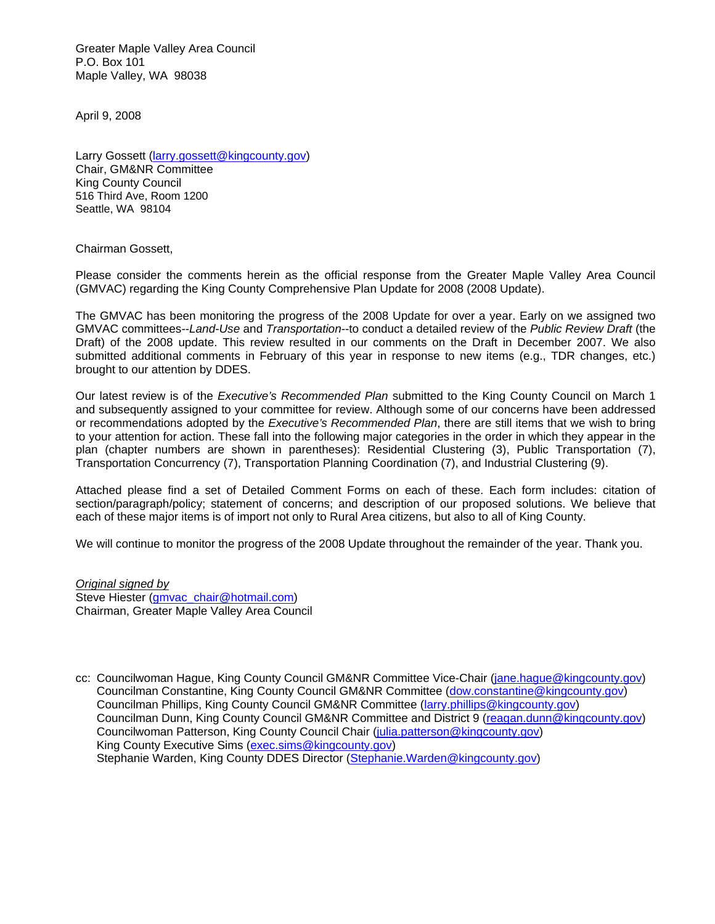Greater Maple Valley Area Council P.O. Box 101 Maple Valley, WA 98038

April 9, 2008

Larry Gossett [\(larry.gossett@kingcounty.gov\)](mailto:larry.gossett@kingcounty.gov) Chair, GM&NR Committee King County Council 516 Third Ave, Room 1200 Seattle, WA 98104

Chairman Gossett,

Please consider the comments herein as the official response from the Greater Maple Valley Area Council (GMVAC) regarding the King County Comprehensive Plan Update for 2008 (2008 Update).

The GMVAC has been monitoring the progress of the 2008 Update for over a year. Early on we assigned two GMVAC committees--*Land-Use* and *Transportation*--to conduct a detailed review of the *Public Review Draft* (the Draft) of the 2008 update. This review resulted in our comments on the Draft in December 2007. We also submitted additional comments in February of this year in response to new items (e.g., TDR changes, etc.) brought to our attention by DDES.

Our latest review is of the *Executive's Recommended Plan* submitted to the King County Council on March 1 and subsequently assigned to your committee for review. Although some of our concerns have been addressed or recommendations adopted by the *Executive's Recommended Plan*, there are still items that we wish to bring to your attention for action. These fall into the following major categories in the order in which they appear in the plan (chapter numbers are shown in parentheses): Residential Clustering (3), Public Transportation (7), Transportation Concurrency (7), Transportation Planning Coordination (7), and Industrial Clustering (9).

Attached please find a set of Detailed Comment Forms on each of these. Each form includes: citation of section/paragraph/policy; statement of concerns; and description of our proposed solutions. We believe that each of these major items is of import not only to Rural Area citizens, but also to all of King County.

We will continue to monitor the progress of the 2008 Update throughout the remainder of the year. Thank you.

*Original signed by* Steve Hiester [\(gmvac\\_chair@hotmail.com\)](mailto:gmvac_chair@hotmail.com) Chairman, Greater Maple Valley Area Council

cc: Councilwoman Hague, King County Council GM&NR Committee Vice-Chair [\(jane.hague@kingcounty.gov\)](mailto:jane.hague@kingcounty.gov) Councilman Constantine, King County Council GM&NR Committee [\(dow.constantine@kingcounty.gov\)](mailto:dow.constantine@kingcounty.gov) Councilman Phillips, King County Council GM&NR Committee [\(larry.phillips@kingcounty.gov\)](mailto:larry.phillips@kingcounty.gov) Councilman Dunn, King County Council GM&NR Committee and District 9 [\(reagan.dunn@kingcounty.gov\)](mailto:reagan.dunn@kingcounty.gov) Councilwoman Patterson, King County Council Chair [\(julia.patterson@kingcounty.gov\)](mailto:julia.patterson@kingcounty.gov) King County Executive Sims [\(exec.sims@kingcounty.gov\)](mailto:exec.sims@kingcounty.gov) Stephanie Warden, King County DDES Director [\(Stephanie.Warden@kingcounty.gov\)](mailto:Stephanie.Warden@kingcounty.gov)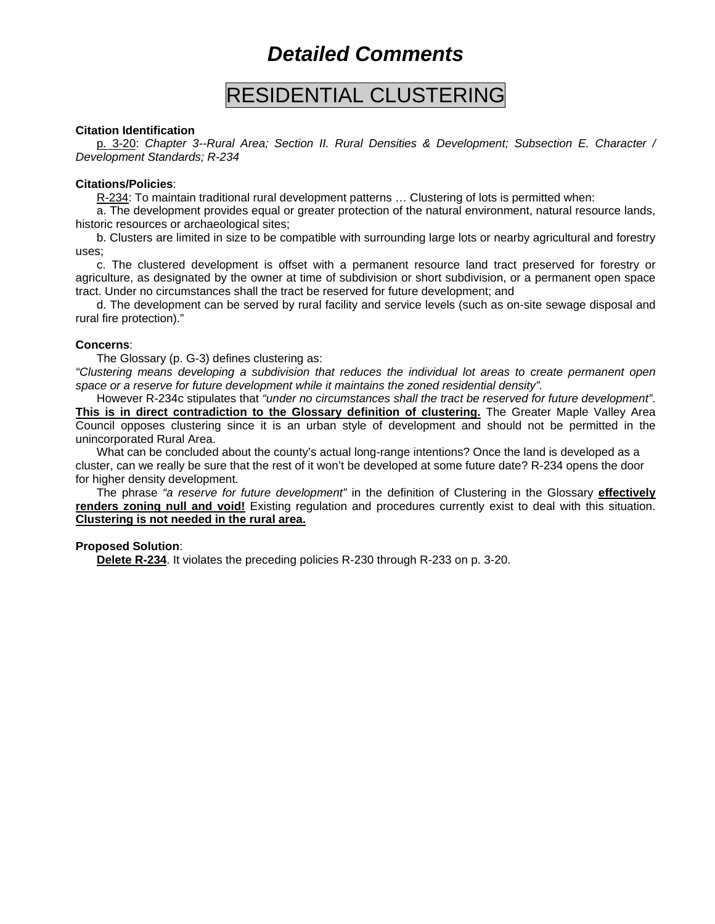## RESIDENTIAL CLUSTERING

### **Citation Identification**

p. 3-20: *Chapter 3--Rural Area; Section II. Rural Densities & Development; Subsection E. Character / Development Standards; R-234*

#### **Citations/Policies**:

R-234: To maintain traditional rural development patterns ... Clustering of lots is permitted when:

a. The development provides equal or greater protection of the natural environment, natural resource lands, historic resources or archaeological sites;

b. Clusters are limited in size to be compatible with surrounding large lots or nearby agricultural and forestry uses;

c. The clustered development is offset with a permanent resource land tract preserved for forestry or agriculture, as designated by the owner at time of subdivision or short subdivision, or a permanent open space tract. Under no circumstances shall the tract be reserved for future development; and

d. The development can be served by rural facility and service levels (such as on-site sewage disposal and rural fire protection)."

#### **Concerns**:

The Glossary (p. G-3) defines clustering as:

*"Clustering means developing a subdivision that reduces the individual lot areas to create permanent open space or a reserve for future development while it maintains the zoned residential density".*

However R-234c stipulates that *"under no circumstances shall the tract be reserved for future development"*. **This is in direct contradiction to the Glossary definition of clustering.** The Greater Maple Valley Area Council opposes clustering since it is an urban style of development and should not be permitted in the unincorporated Rural Area.

What can be concluded about the county's actual long-range intentions? Once the land is developed as a cluster, can we really be sure that the rest of it won't be developed at some future date? R-234 opens the door for higher density development.

The phrase *"a reserve for future development"* in the definition of Clustering in the Glossary **effectively renders zoning null and void!** Existing regulation and procedures currently exist to deal with this situation. **Clustering is not needed in the rural area.**

## **Proposed Solution**:

**Delete R-234**. It violates the preceding policies R-230 through R-233 on p. 3-20.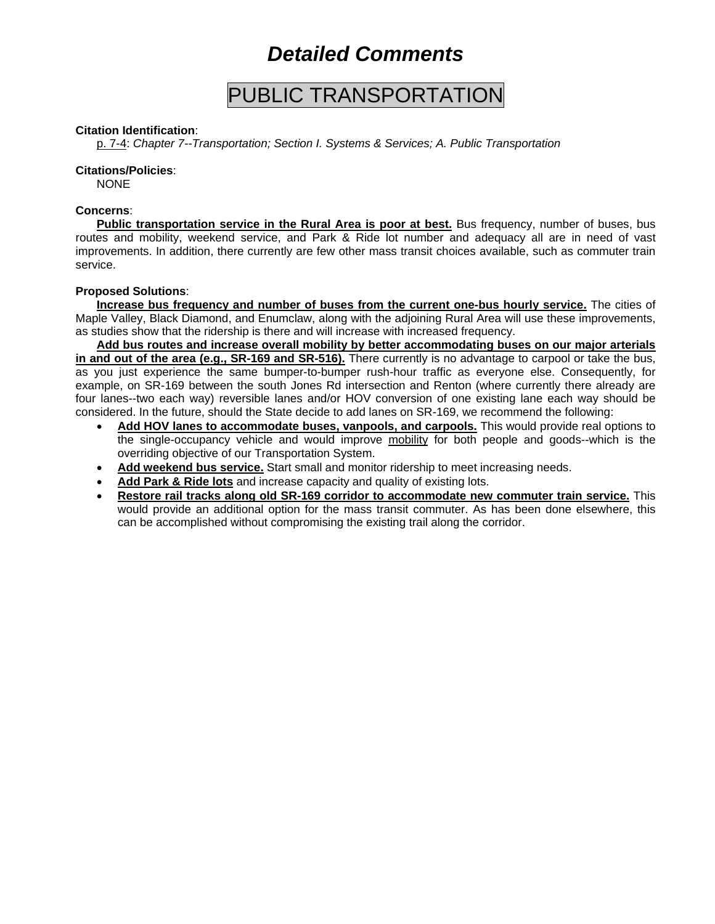## PUBLIC TRANSPORTATION

## **Citation Identification**:

p. 7-4: *Chapter 7--Transportation; Section I. Systems & Services; A. Public Transportation*

## **Citations/Policies**:

NONE

## **Concerns**:

**Public transportation service in the Rural Area is poor at best.** Bus frequency, number of buses, bus routes and mobility, weekend service, and Park & Ride lot number and adequacy all are in need of vast improvements. In addition, there currently are few other mass transit choices available, such as commuter train service.

## **Proposed Solutions**:

**Increase bus frequency and number of buses from the current one-bus hourly service.** The cities of Maple Valley, Black Diamond, and Enumclaw, along with the adjoining Rural Area will use these improvements, as studies show that the ridership is there and will increase with increased frequency.

**Add bus routes and increase overall mobility by better accommodating buses on our major arterials in and out of the area (e.g., SR-169 and SR-516).** There currently is no advantage to carpool or take the bus, as you just experience the same bumper-to-bumper rush-hour traffic as everyone else. Consequently, for example, on SR-169 between the south Jones Rd intersection and Renton (where currently there already are four lanes--two each way) reversible lanes and/or HOV conversion of one existing lane each way should be considered. In the future, should the State decide to add lanes on SR-169, we recommend the following:

- **Add HOV lanes to accommodate buses, vanpools, and carpools.** This would provide real options to the single-occupancy vehicle and would improve mobility for both people and goods--which is the overriding objective of our Transportation System.
- **Add weekend bus service.** Start small and monitor ridership to meet increasing needs.
- **Add Park & Ride lots** and increase capacity and quality of existing lots.
- **Restore rail tracks along old SR-169 corridor to accommodate new commuter train service.** This would provide an additional option for the mass transit commuter. As has been done elsewhere, this can be accomplished without compromising the existing trail along the corridor.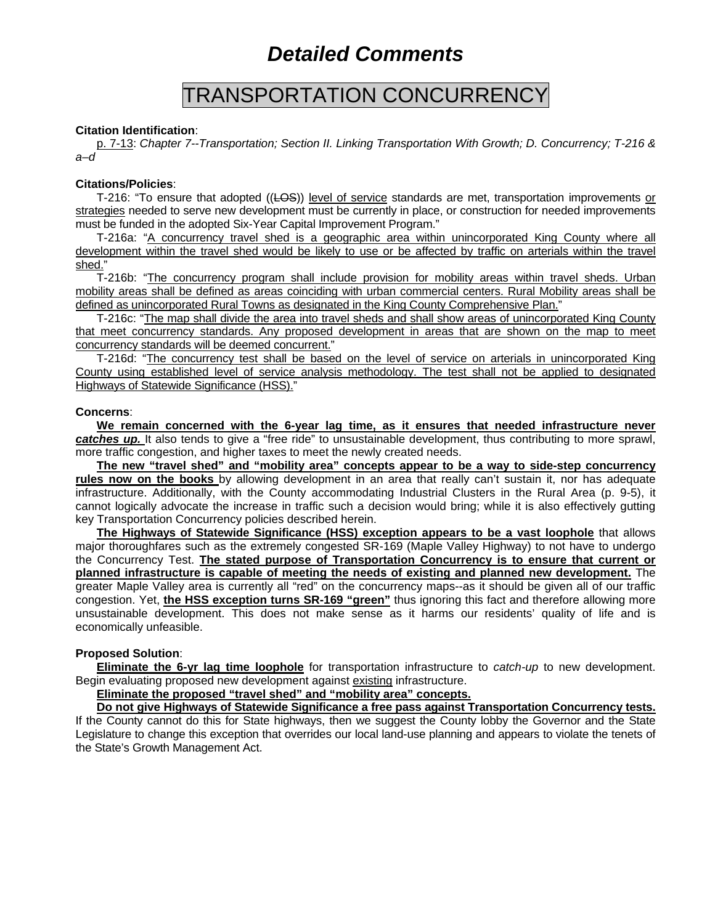## TRANSPORTATION CONCURRENCY

### **Citation Identification**:

p. 7-13: *Chapter 7--Transportation; Section II. Linking Transportation With Growth; D. Concurrency; T-216 & a–d*

#### **Citations/Policies**:

T-216: "To ensure that adopted ((LOS)) level of service standards are met, transportation improvements or strategies needed to serve new development must be currently in place, or construction for needed improvements must be funded in the adopted Six-Year Capital Improvement Program."

T-216a: "A concurrency travel shed is a geographic area within unincorporated King County where all development within the travel shed would be likely to use or be affected by traffic on arterials within the travel shed."

T-216b: "The concurrency program shall include provision for mobility areas within travel sheds. Urban mobility areas shall be defined as areas coinciding with urban commercial centers. Rural Mobility areas shall be defined as unincorporated Rural Towns as designated in the King County Comprehensive Plan."

T-216c: "The map shall divide the area into travel sheds and shall show areas of unincorporated King County that meet concurrency standards. Any proposed development in areas that are shown on the map to meet concurrency standards will be deemed concurrent."

T-216d: "The concurrency test shall be based on the level of service on arterials in unincorporated King County using established level of service analysis methodology. The test shall not be applied to designated Highways of Statewide Significance (HSS)."

#### **Concerns**:

**We remain concerned with the 6-year lag time, as it ensures that needed infrastructure never**  *catches up.* It also tends to give a "free ride" to unsustainable development, thus contributing to more sprawl, more traffic congestion, and higher taxes to meet the newly created needs.

**The new "travel shed" and "mobility area" concepts appear to be a way to side-step concurrency rules now on the books** by allowing development in an area that really can't sustain it, nor has adequate infrastructure. Additionally, with the County accommodating Industrial Clusters in the Rural Area (p. 9-5), it cannot logically advocate the increase in traffic such a decision would bring; while it is also effectively gutting key Transportation Concurrency policies described herein.

**The Highways of Statewide Significance (HSS) exception appears to be a vast loophole** that allows major thoroughfares such as the extremely congested SR-169 (Maple Valley Highway) to not have to undergo the Concurrency Test. **The stated purpose of Transportation Concurrency is to ensure that current or planned infrastructure is capable of meeting the needs of existing and planned new development.** The greater Maple Valley area is currently all "red" on the concurrency maps--as it should be given all of our traffic congestion. Yet, **the HSS exception turns SR-169 "green"** thus ignoring this fact and therefore allowing more unsustainable development. This does not make sense as it harms our residents' quality of life and is economically unfeasible.

## **Proposed Solution**:

**Eliminate the 6-yr lag time loophole** for transportation infrastructure to *catch-up* to new development. Begin evaluating proposed new development against existing infrastructure.

**Eliminate the proposed "travel shed" and "mobility area" concepts.**

**Do not give Highways of Statewide Significance a free pass against Transportation Concurrency tests.**

If the County cannot do this for State highways, then we suggest the County lobby the Governor and the State Legislature to change this exception that overrides our local land-use planning and appears to violate the tenets of the State's Growth Management Act.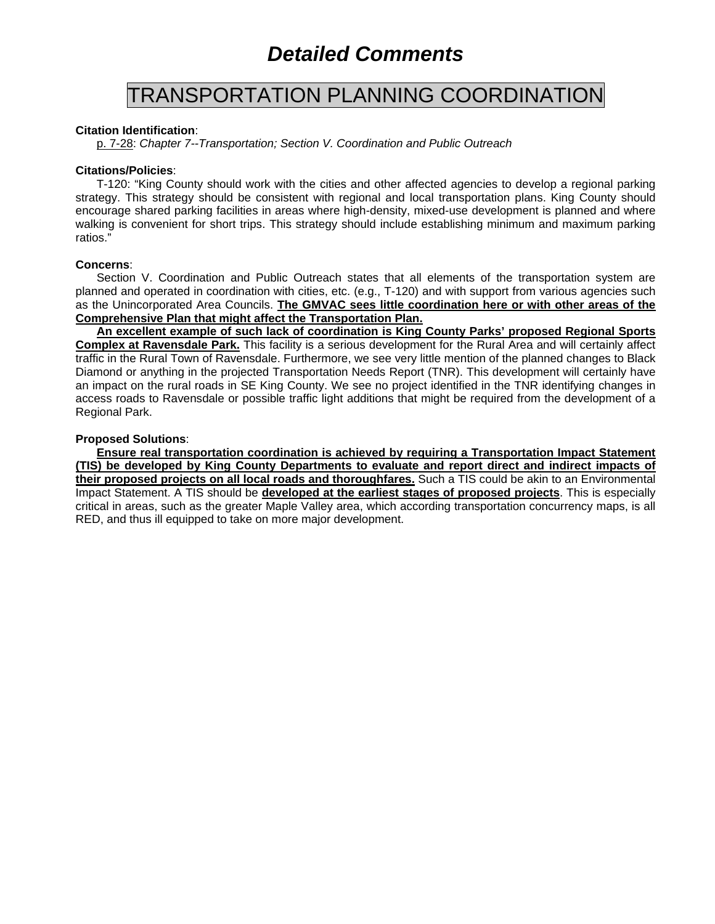## TRANSPORTATION PLANNING COORDINATION

## **Citation Identification**:

p. 7-28: *Chapter 7--Transportation; Section V. Coordination and Public Outreach*

## **Citations/Policies**:

T-120: "King County should work with the cities and other affected agencies to develop a regional parking strategy. This strategy should be consistent with regional and local transportation plans. King County should encourage shared parking facilities in areas where high-density, mixed-use development is planned and where walking is convenient for short trips. This strategy should include establishing minimum and maximum parking ratios."

## **Concerns**:

Section V. Coordination and Public Outreach states that all elements of the transportation system are planned and operated in coordination with cities, etc. (e.g., T-120) and with support from various agencies such as the Unincorporated Area Councils. **The GMVAC sees little coordination here or with other areas of the Comprehensive Plan that might affect the Transportation Plan.**

**An excellent example of such lack of coordination is King County Parks' proposed Regional Sports Complex at Ravensdale Park.** This facility is a serious development for the Rural Area and will certainly affect traffic in the Rural Town of Ravensdale. Furthermore, we see very little mention of the planned changes to Black Diamond or anything in the projected Transportation Needs Report (TNR). This development will certainly have an impact on the rural roads in SE King County. We see no project identified in the TNR identifying changes in access roads to Ravensdale or possible traffic light additions that might be required from the development of a Regional Park.

## **Proposed Solutions**:

**Ensure real transportation coordination is achieved by requiring a Transportation Impact Statement (TIS) be developed by King County Departments to evaluate and report direct and indirect impacts of their proposed projects on all local roads and thoroughfares.** Such a TIS could be akin to an Environmental Impact Statement. A TIS should be **developed at the earliest stages of proposed projects**. This is especially critical in areas, such as the greater Maple Valley area, which according transportation concurrency maps, is all RED, and thus ill equipped to take on more major development.